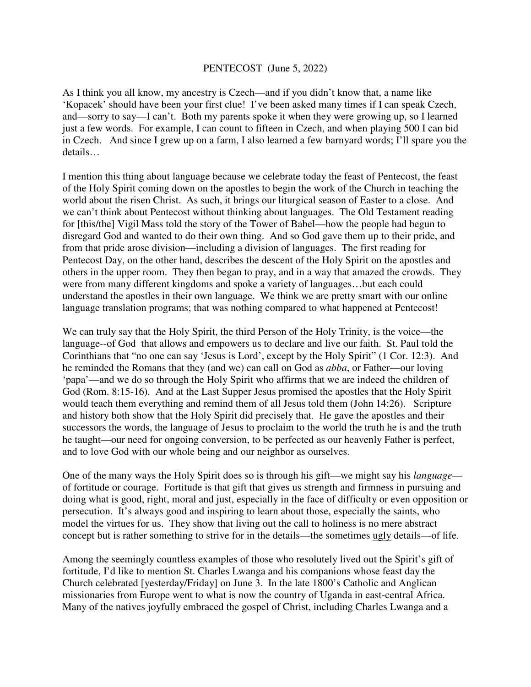## PENTECOST (June 5, 2022)

As I think you all know, my ancestry is Czech—and if you didn't know that, a name like 'Kopacek' should have been your first clue! I've been asked many times if I can speak Czech, and—sorry to say—I can't. Both my parents spoke it when they were growing up, so I learned just a few words. For example, I can count to fifteen in Czech, and when playing 500 I can bid in Czech. And since I grew up on a farm, I also learned a few barnyard words; I'll spare you the details…

I mention this thing about language because we celebrate today the feast of Pentecost, the feast of the Holy Spirit coming down on the apostles to begin the work of the Church in teaching the world about the risen Christ. As such, it brings our liturgical season of Easter to a close. And we can't think about Pentecost without thinking about languages. The Old Testament reading for [this/the] Vigil Mass told the story of the Tower of Babel—how the people had begun to disregard God and wanted to do their own thing. And so God gave them up to their pride, and from that pride arose division—including a division of languages. The first reading for Pentecost Day, on the other hand, describes the descent of the Holy Spirit on the apostles and others in the upper room. They then began to pray, and in a way that amazed the crowds. They were from many different kingdoms and spoke a variety of languages…but each could understand the apostles in their own language. We think we are pretty smart with our online language translation programs; that was nothing compared to what happened at Pentecost!

We can truly say that the Holy Spirit, the third Person of the Holy Trinity, is the voice—the language--of God that allows and empowers us to declare and live our faith. St. Paul told the Corinthians that "no one can say 'Jesus is Lord', except by the Holy Spirit" (1 Cor. 12:3). And he reminded the Romans that they (and we) can call on God as *abba*, or Father—our loving 'papa'—and we do so through the Holy Spirit who affirms that we are indeed the children of God (Rom. 8:15-16). And at the Last Supper Jesus promised the apostles that the Holy Spirit would teach them everything and remind them of all Jesus told them (John 14:26). Scripture and history both show that the Holy Spirit did precisely that. He gave the apostles and their successors the words, the language of Jesus to proclaim to the world the truth he is and the truth he taught—our need for ongoing conversion, to be perfected as our heavenly Father is perfect, and to love God with our whole being and our neighbor as ourselves.

One of the many ways the Holy Spirit does so is through his gift—we might say his *language* of fortitude or courage. Fortitude is that gift that gives us strength and firmness in pursuing and doing what is good, right, moral and just, especially in the face of difficulty or even opposition or persecution. It's always good and inspiring to learn about those, especially the saints, who model the virtues for us. They show that living out the call to holiness is no mere abstract concept but is rather something to strive for in the details—the sometimes ugly details—of life.

Among the seemingly countless examples of those who resolutely lived out the Spirit's gift of fortitude, I'd like to mention St. Charles Lwanga and his companions whose feast day the Church celebrated [yesterday/Friday] on June 3. In the late 1800's Catholic and Anglican missionaries from Europe went to what is now the country of Uganda in east-central Africa. Many of the natives joyfully embraced the gospel of Christ, including Charles Lwanga and a